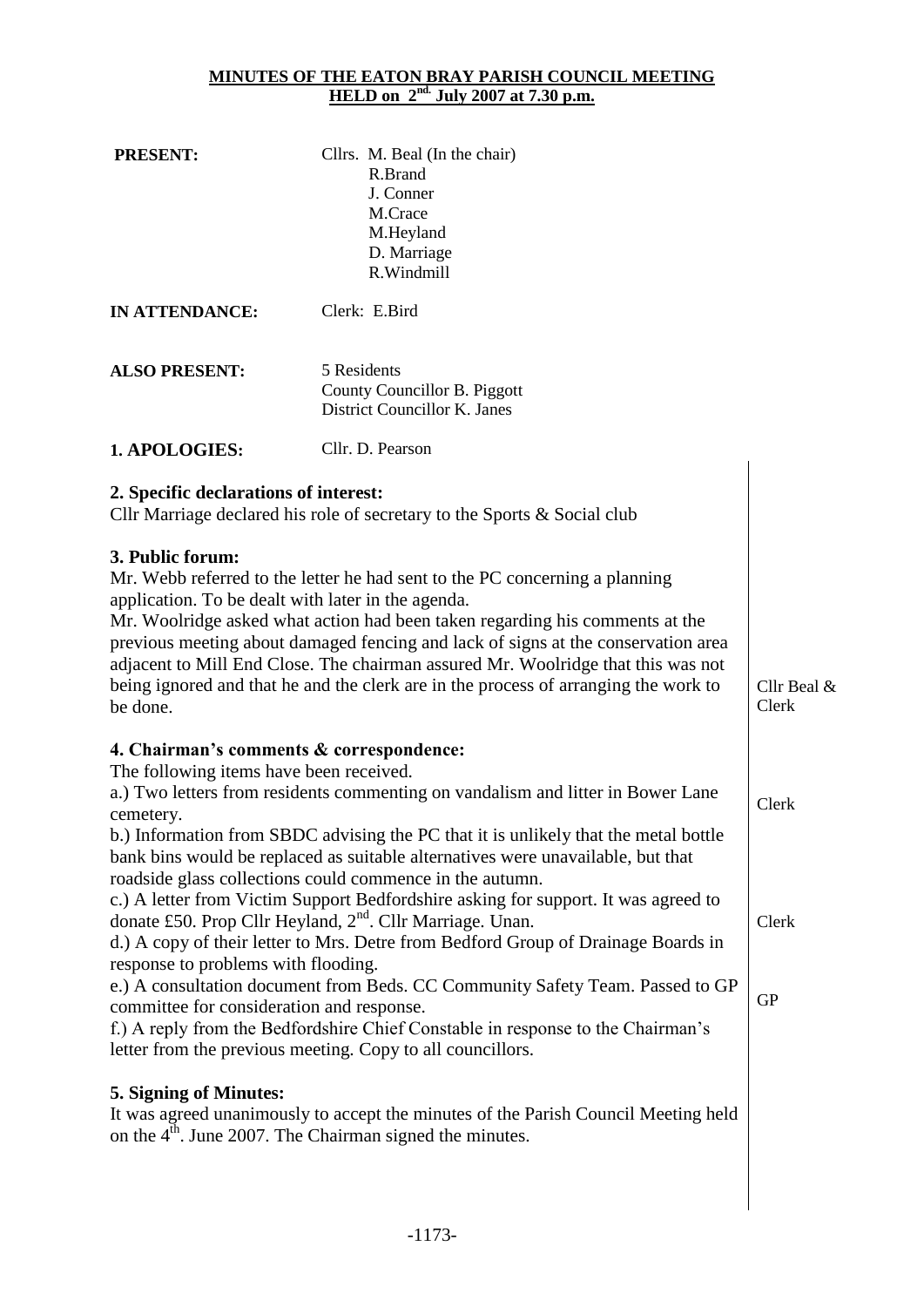#### **MINUTES OF THE EATON BRAY PARISH COUNCIL MEETING HELD on 2nd. July 2007 at 7.30 p.m.**

| <b>PRESENT:</b>                                                                                                                                                                      | Cllrs. M. Beal (In the chair)<br>R.Brand<br>J. Conner<br>M.Crace<br>M.Heyland<br>D. Marriage<br>R.Windmill                                                                                                                                                                                                                                                                                                                                                                                                                                                                                                                                                                                                                                                                                                  |                             |
|--------------------------------------------------------------------------------------------------------------------------------------------------------------------------------------|-------------------------------------------------------------------------------------------------------------------------------------------------------------------------------------------------------------------------------------------------------------------------------------------------------------------------------------------------------------------------------------------------------------------------------------------------------------------------------------------------------------------------------------------------------------------------------------------------------------------------------------------------------------------------------------------------------------------------------------------------------------------------------------------------------------|-----------------------------|
| <b>IN ATTENDANCE:</b>                                                                                                                                                                | Clerk: E.Bird                                                                                                                                                                                                                                                                                                                                                                                                                                                                                                                                                                                                                                                                                                                                                                                               |                             |
| <b>ALSO PRESENT:</b>                                                                                                                                                                 | 5 Residents<br>County Councillor B. Piggott<br>District Councillor K. Janes                                                                                                                                                                                                                                                                                                                                                                                                                                                                                                                                                                                                                                                                                                                                 |                             |
| 1. APOLOGIES:                                                                                                                                                                        | Cllr. D. Pearson                                                                                                                                                                                                                                                                                                                                                                                                                                                                                                                                                                                                                                                                                                                                                                                            |                             |
| 2. Specific declarations of interest:                                                                                                                                                | Cllr Marriage declared his role of secretary to the Sports & Social club                                                                                                                                                                                                                                                                                                                                                                                                                                                                                                                                                                                                                                                                                                                                    |                             |
| 3. Public forum:<br>application. To be dealt with later in the agenda.<br>be done.                                                                                                   | Mr. Webb referred to the letter he had sent to the PC concerning a planning<br>Mr. Woolridge asked what action had been taken regarding his comments at the<br>previous meeting about damaged fencing and lack of signs at the conservation area<br>adjacent to Mill End Close. The chairman assured Mr. Woolridge that this was not<br>being ignored and that he and the clerk are in the process of arranging the work to                                                                                                                                                                                                                                                                                                                                                                                 | Cllr Beal &<br>Clerk        |
| 4. Chairman's comments & correspondence:<br>The following items have been received.<br>cemetery.<br>response to problems with flooding.<br>committee for consideration and response. | a.) Two letters from residents commenting on vandalism and litter in Bower Lane<br>b.) Information from SBDC advising the PC that it is unlikely that the metal bottle<br>bank bins would be replaced as suitable alternatives were unavailable, but that<br>roadside glass collections could commence in the autumn.<br>c.) A letter from Victim Support Bedfordshire asking for support. It was agreed to<br>donate £50. Prop Cllr Heyland, 2 <sup>nd</sup> . Cllr Marriage. Unan.<br>d.) A copy of their letter to Mrs. Detre from Bedford Group of Drainage Boards in<br>e.) A consultation document from Beds. CC Community Safety Team. Passed to GP<br>f.) A reply from the Bedfordshire Chief Constable in response to the Chairman's<br>letter from the previous meeting. Copy to all councillors. | Clerk<br>Clerk<br><b>GP</b> |
| <b>5. Signing of Minutes:</b>                                                                                                                                                        | It was agreed unanimously to accept the minutes of the Parish Council Meeting held<br>on the 4 <sup>th</sup> . June 2007. The Chairman signed the minutes.                                                                                                                                                                                                                                                                                                                                                                                                                                                                                                                                                                                                                                                  |                             |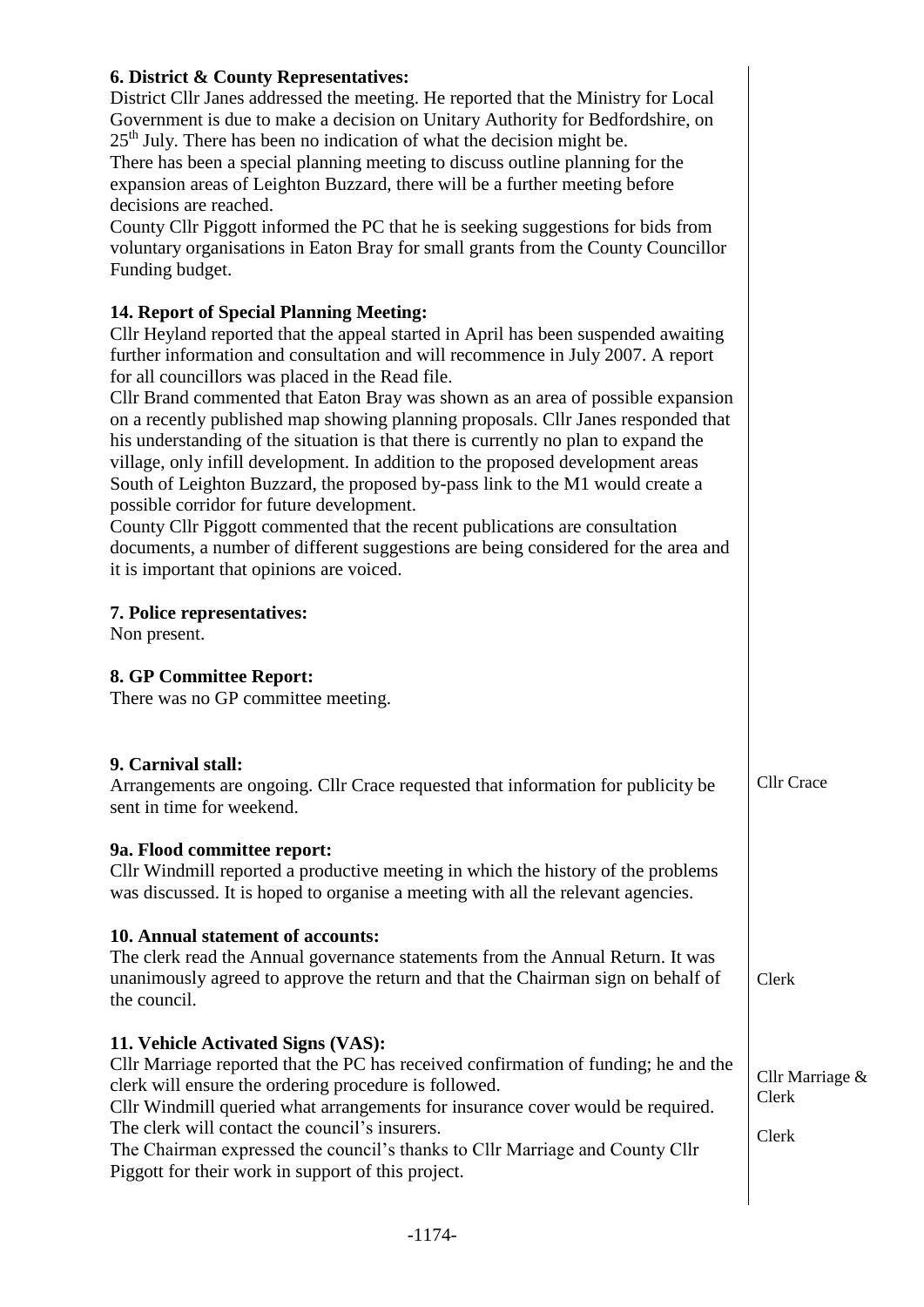## **6. District & County Representatives:**

District Cllr Janes addressed the meeting. He reported that the Ministry for Local Government is due to make a decision on Unitary Authority for Bedfordshire, on  $25<sup>th</sup>$  July. There has been no indication of what the decision might be.

There has been a special planning meeting to discuss outline planning for the expansion areas of Leighton Buzzard, there will be a further meeting before decisions are reached.

County Cllr Piggott informed the PC that he is seeking suggestions for bids from voluntary organisations in Eaton Bray for small grants from the County Councillor Funding budget.

## **14. Report of Special Planning Meeting:**

Cllr Heyland reported that the appeal started in April has been suspended awaiting further information and consultation and will recommence in July 2007. A report for all councillors was placed in the Read file.

Cllr Brand commented that Eaton Bray was shown as an area of possible expansion on a recently published map showing planning proposals. Cllr Janes responded that his understanding of the situation is that there is currently no plan to expand the village, only infill development. In addition to the proposed development areas South of Leighton Buzzard, the proposed by-pass link to the M1 would create a possible corridor for future development.

County Cllr Piggott commented that the recent publications are consultation documents, a number of different suggestions are being considered for the area and it is important that opinions are voiced.

### **7. Police representatives:**

Non present.

# **8. GP Committee Report:**

There was no GP committee meeting.

### **9. Carnival stall:**

Arrangements are ongoing. Cllr Crace requested that information for publicity be sent in time for weekend.

Cllr Crace

Clerk

Clerk

Clerk

Cllr Marriage &

### **9a. Flood committee report:**

Cllr Windmill reported a productive meeting in which the history of the problems was discussed. It is hoped to organise a meeting with all the relevant agencies.

### **10. Annual statement of accounts:**

The clerk read the Annual governance statements from the Annual Return. It was unanimously agreed to approve the return and that the Chairman sign on behalf of the council.

# **11. Vehicle Activated Signs (VAS):**

Cllr Marriage reported that the PC has received confirmation of funding; he and the clerk will ensure the ordering procedure is followed.

Cllr Windmill queried what arrangements for insurance cover would be required. The clerk will contact the council's insurers.

The Chairman expressed the council's thanks to Cllr Marriage and County Cllr Piggott for their work in support of this project.